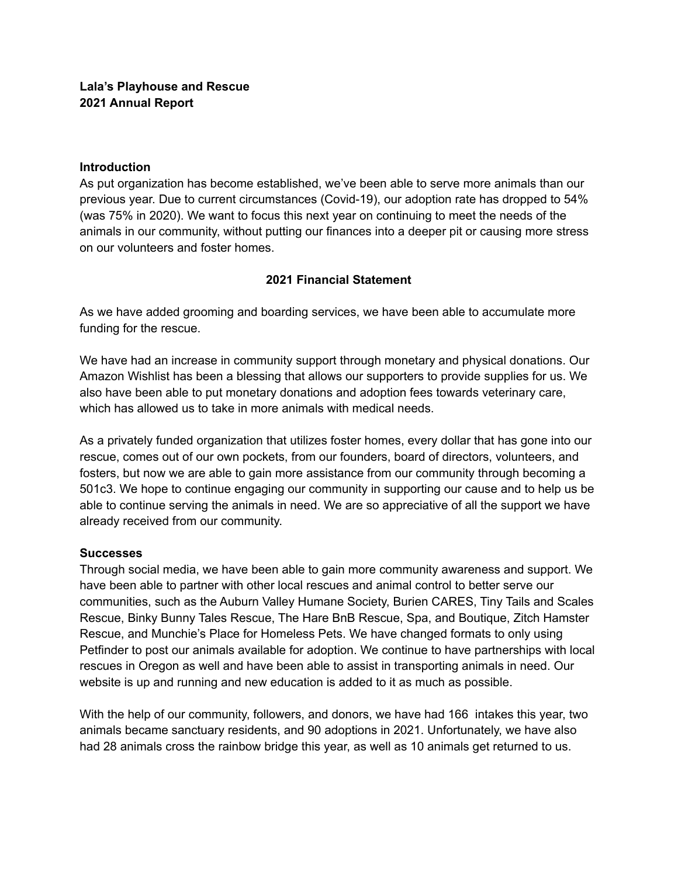#### **Introduction**

As put organization has become established, we've been able to serve more animals than our previous year. Due to current circumstances (Covid-19), our adoption rate has dropped to 54% (was 75% in 2020). We want to focus this next year on continuing to meet the needs of the animals in our community, without putting our finances into a deeper pit or causing more stress on our volunteers and foster homes.

### **2021 Financial Statement**

As we have added grooming and boarding services, we have been able to accumulate more funding for the rescue.

We have had an increase in community support through monetary and physical donations. Our Amazon Wishlist has been a blessing that allows our supporters to provide supplies for us. We also have been able to put monetary donations and adoption fees towards veterinary care, which has allowed us to take in more animals with medical needs.

As a privately funded organization that utilizes foster homes, every dollar that has gone into our rescue, comes out of our own pockets, from our founders, board of directors, volunteers, and fosters, but now we are able to gain more assistance from our community through becoming a 501c3. We hope to continue engaging our community in supporting our cause and to help us be able to continue serving the animals in need. We are so appreciative of all the support we have already received from our community.

### **Successes**

Through social media, we have been able to gain more community awareness and support. We have been able to partner with other local rescues and animal control to better serve our communities, such as the Auburn Valley Humane Society, Burien CARES, Tiny Tails and Scales Rescue, Binky Bunny Tales Rescue, The Hare BnB Rescue, Spa, and Boutique, Zitch Hamster Rescue, and Munchie's Place for Homeless Pets. We have changed formats to only using Petfinder to post our animals available for adoption. We continue to have partnerships with local rescues in Oregon as well and have been able to assist in transporting animals in need. Our website is up and running and new education is added to it as much as possible.

With the help of our community, followers, and donors, we have had 166 intakes this year, two animals became sanctuary residents, and 90 adoptions in 2021. Unfortunately, we have also had 28 animals cross the rainbow bridge this year, as well as 10 animals get returned to us.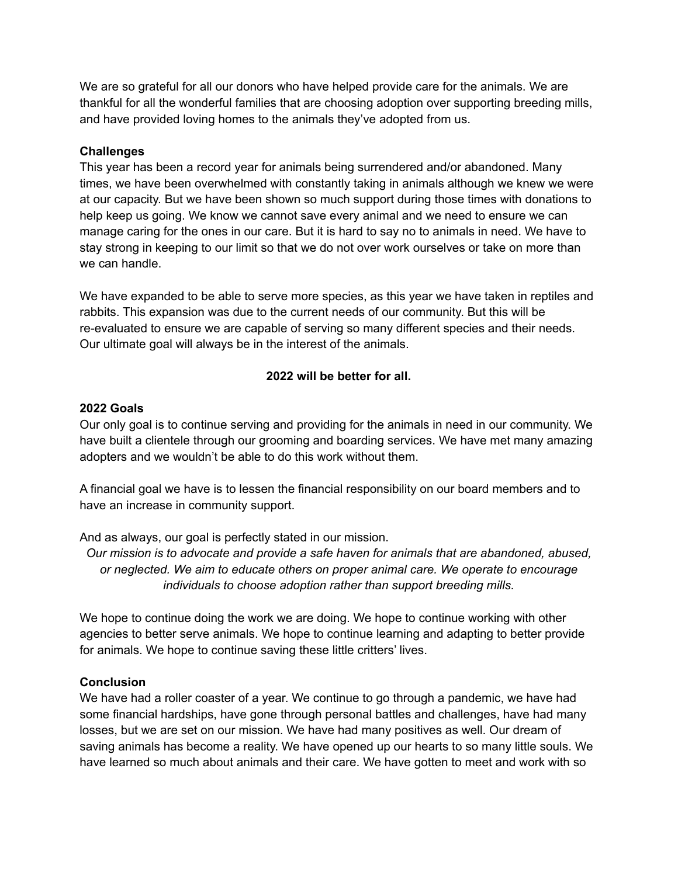We are so grateful for all our donors who have helped provide care for the animals. We are thankful for all the wonderful families that are choosing adoption over supporting breeding mills, and have provided loving homes to the animals they've adopted from us.

## **Challenges**

This year has been a record year for animals being surrendered and/or abandoned. Many times, we have been overwhelmed with constantly taking in animals although we knew we were at our capacity. But we have been shown so much support during those times with donations to help keep us going. We know we cannot save every animal and we need to ensure we can manage caring for the ones in our care. But it is hard to say no to animals in need. We have to stay strong in keeping to our limit so that we do not over work ourselves or take on more than we can handle.

We have expanded to be able to serve more species, as this year we have taken in reptiles and rabbits. This expansion was due to the current needs of our community. But this will be re-evaluated to ensure we are capable of serving so many different species and their needs. Our ultimate goal will always be in the interest of the animals.

# **2022 will be better for all.**

### **2022 Goals**

Our only goal is to continue serving and providing for the animals in need in our community. We have built a clientele through our grooming and boarding services. We have met many amazing adopters and we wouldn't be able to do this work without them.

A financial goal we have is to lessen the financial responsibility on our board members and to have an increase in community support.

And as always, our goal is perfectly stated in our mission.

*Our mission is to advocate and provide a safe haven for animals that are abandoned, abused, or neglected. We aim to educate others on proper animal care. We operate to encourage individuals to choose adoption rather than support breeding mills.*

We hope to continue doing the work we are doing. We hope to continue working with other agencies to better serve animals. We hope to continue learning and adapting to better provide for animals. We hope to continue saving these little critters' lives.

# **Conclusion**

We have had a roller coaster of a year. We continue to go through a pandemic, we have had some financial hardships, have gone through personal battles and challenges, have had many losses, but we are set on our mission. We have had many positives as well. Our dream of saving animals has become a reality. We have opened up our hearts to so many little souls. We have learned so much about animals and their care. We have gotten to meet and work with so